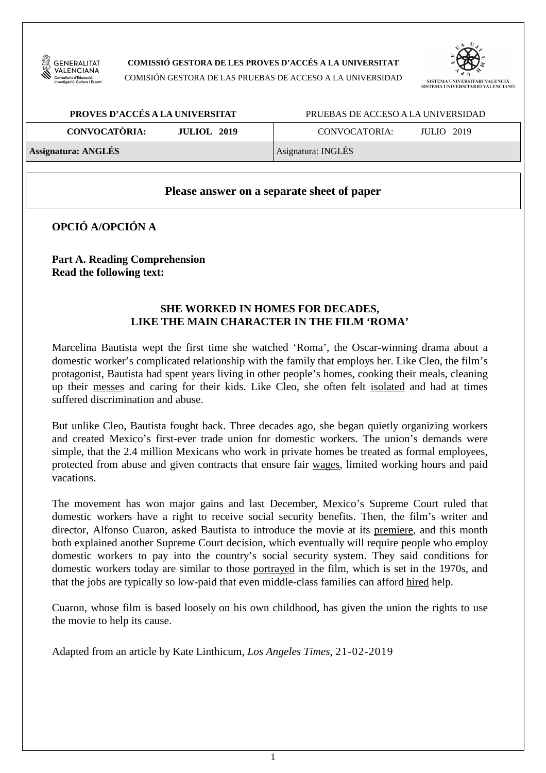

**COMISSIÓ GESTORA DE LES PROVES D'ACCÉS A LA UNIVERSITAT** 

COMISIÓN GESTORA DE LAS PRUEBAS DE ACCESO A LA UNIVERSIDAD



| PROVES D'ACCÉS A LA UNIVERSITAT            | PRUEBAS DE ACCESO A LA UNIVERSIDAD |  |  |
|--------------------------------------------|------------------------------------|--|--|
| <b>CONVOCATÒRIA:</b><br><b>JULIOL 2019</b> | CONVOCATORIA:<br>JULIO 2019        |  |  |
| <b>Assignatura: ANGLÉS</b>                 | Asignatura: INGLÉS                 |  |  |

#### **Please answer on a separate sheet of paper**

**OPCIÓ A/OPCIÓN A** 

**Part A. Reading Comprehension Read the following text:** 

## **SHE WORKED IN HOMES FOR DECADES, LIKE THE MAIN CHARACTER IN THE FILM 'ROMA'**

Marcelina Bautista wept the first time she watched 'Roma', the Oscar-winning drama about a domestic worker's complicated relationship with the family that employs her. Like Cleo, the film's protagonist, Bautista had spent years living in other people's homes, cooking their meals, cleaning up their messes and caring for their kids. Like Cleo, she often felt isolated and had at times suffered discrimination and abuse.

But unlike Cleo, Bautista fought back. Three decades ago, she began quietly organizing workers and created Mexico's first-ever trade union for domestic workers. The union's demands were simple, that the 2.4 million Mexicans who work in private homes be treated as formal employees, protected from abuse and given contracts that ensure fair wages, limited working hours and paid vacations.

The movement has won major gains and last December, Mexico's Supreme Court ruled that domestic workers have a right to receive social security benefits. Then, the film's writer and director, Alfonso Cuaron, asked Bautista to introduce the movie at its premiere, and this month both explained another Supreme Court decision, which eventually will require people who employ domestic workers to pay into the country's social security system. They said conditions for domestic workers today are similar to those portrayed in the film, which is set in the 1970s, and that the jobs are typically so low-paid that even middle-class families can afford hired help.

Cuaron, whose film is based loosely on his own childhood, has given the union the rights to use the movie to help its cause.

Adapted from an article by Kate Linthicum, *Los Angeles Times,* 21-02-2019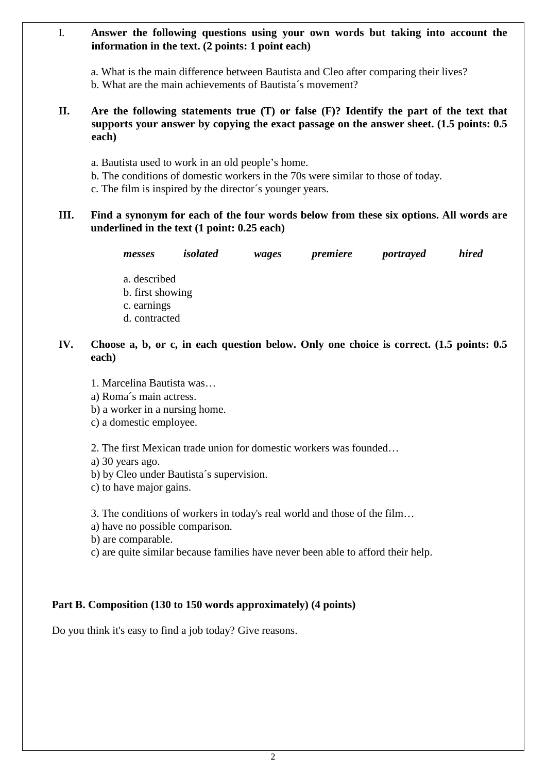#### I. **Answer the following questions using your own words but taking into account the information in the text. (2 points: 1 point each)**

a. What is the main difference between Bautista and Cleo after comparing their lives? b. What are the main achievements of Bautista´s movement?

## **II. Are the following statements true (T) or false (F)? Identify the part of the text that supports your answer by copying the exact passage on the answer sheet. (1.5 points: 0.5 each)**

- a. Bautista used to work in an old people's home.
- b. The conditions of domestic workers in the 70s were similar to those of today.
- c. The film is inspired by the director´s younger years.

## **III. Find a synonym for each of the four words below from these six options. All words are underlined in the text (1 point: 0.25 each)**

| messes           | <i>isolated</i> | wages | premiere | portrayed | <i>hired</i> |
|------------------|-----------------|-------|----------|-----------|--------------|
| a. described     |                 |       |          |           |              |
| b. first showing |                 |       |          |           |              |
| c. earnings      |                 |       |          |           |              |

d. contracted

# **IV. Choose a, b, or c, in each question below. Only one choice is correct. (1.5 points: 0.5 each)**

- 1. Marcelina Bautista was…
- a) Roma´s main actress.
- b) a worker in a nursing home.
- c) a domestic employee.

2. The first Mexican trade union for domestic workers was founded…

- a) 30 years ago.
- b) by Cleo under Bautista´s supervision.
- c) to have major gains.

3. The conditions of workers in today's real world and those of the film…

a) have no possible comparison.

b) are comparable.

c) are quite similar because families have never been able to afford their help.

## **Part B. Composition (130 to 150 words approximately) (4 points)**

Do you think it's easy to find a job today? Give reasons.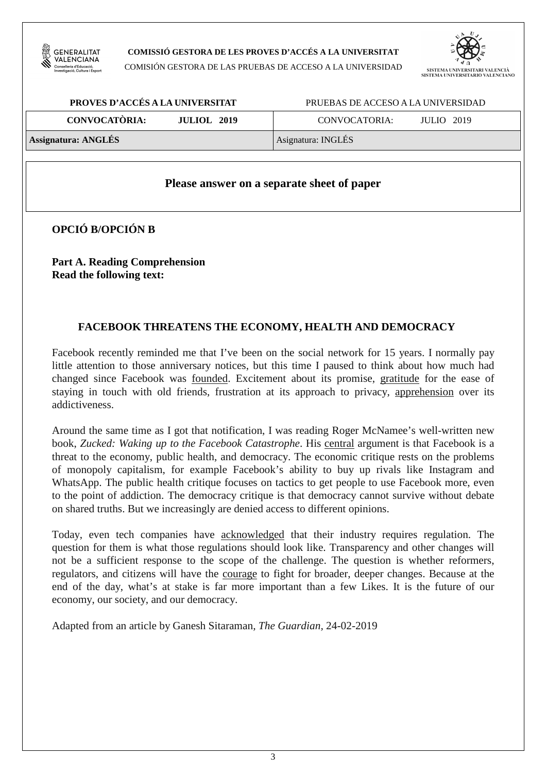

#### **COMISSIÓ GESTORA DE LES PROVES D'ACCÉS A LA UNIVERSITAT**

COMISIÓN GESTORA DE LAS PRUEBAS DE ACCESO A LA UNIVERSIDAD



| PROVES D'ACCÉS A LA UNIVERSITAT            | PRUEBAS DE ACCESO A LA UNIVERSIDAD |  |  |
|--------------------------------------------|------------------------------------|--|--|
| <b>CONVOCATÒRIA:</b><br><b>JULIOL</b> 2019 | CONVOCATORIA:<br><b>JULIO</b> 2019 |  |  |
| <b>Assignatura: ANGLÉS</b>                 | Asignatura: INGLÉS                 |  |  |

#### **Please answer on a separate sheet of paper**

**OPCIÓ B/OPCIÓN B** 

**Part A. Reading Comprehension Read the following text:** 

## **FACEBOOK THREATENS THE ECONOMY, HEALTH AND DEMOCRACY**

Facebook recently reminded me that I've been on the social network for 15 years. I normally pay little attention to those anniversary notices, but this time I paused to think about how much had changed since Facebook was founded. Excitement about its promise, gratitude for the ease of staying in touch with old friends, frustration at its approach to privacy, apprehension over its addictiveness.

Around the same time as I got that notification, I was reading Roger McNamee's well-written new book, *Zucked: Waking up to the Facebook Catastrophe*. His central argument is that Facebook is a threat to the economy, public health, and democracy. The economic critique rests on the problems of monopoly capitalism, for example Facebook's ability to buy up rivals like Instagram and WhatsApp. The public health critique focuses on tactics to get people to use Facebook more, even to the point of addiction. The democracy critique is that democracy cannot survive without debate on shared truths. But we increasingly are denied access to different opinions.

Today, even tech companies have acknowledged that their industry requires regulation. The question for them is what those regulations should look like. Transparency and other changes will not be a sufficient response to the scope of the challenge. The question is whether reformers, regulators, and citizens will have the courage to fight for broader, deeper changes. Because at the end of the day, what's at stake is far more important than a few Likes. It is the future of our economy, our society, and our democracy.

Adapted from an article by Ganesh Sitaraman*, The Guardian,* 24-02-2019